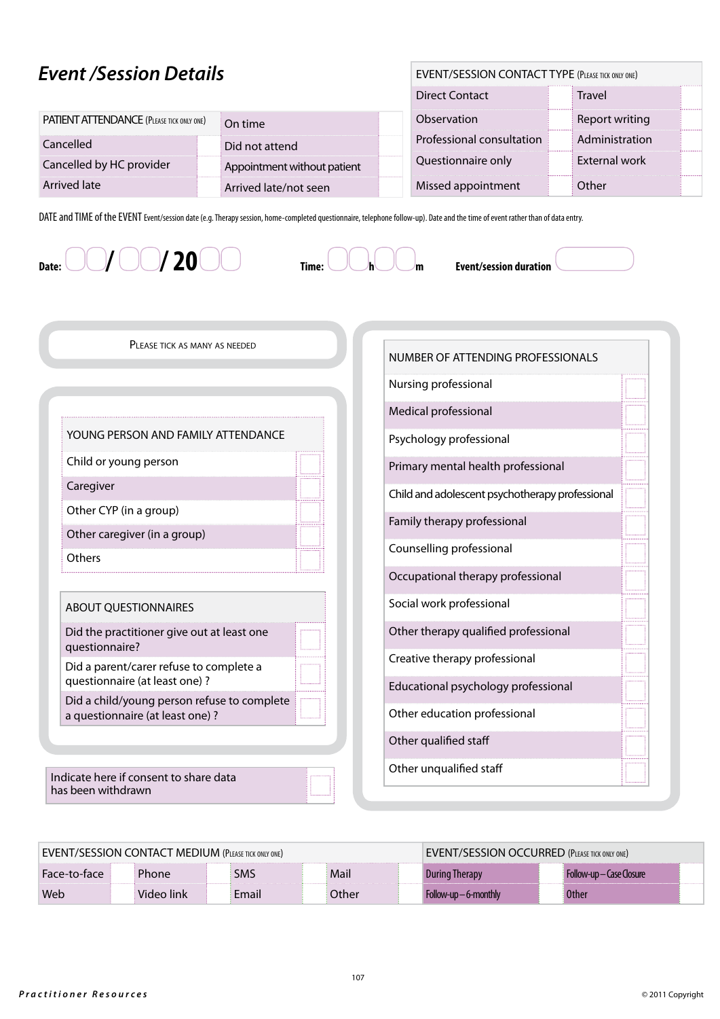## *Event /Session Details*

| <b>EVENT/SESSION CONTACT TYPE (PLEASE TICK ONLY ONE)</b> |  |
|----------------------------------------------------------|--|
|----------------------------------------------------------|--|

|                                                  |                             | <b>Direct Contact</b>     | <b>Travel</b>  |   |
|--------------------------------------------------|-----------------------------|---------------------------|----------------|---|
| <b>PATIENT ATTENDANCE (PLEASE TICK ONLY ONE)</b> | On time                     | Observation               | Report writing | . |
| Cancelled                                        | Did not attend              | Professional consultation | Administration |   |
| Cancelled by HC provider                         | Appointment without patient | Questionnaire only        | External work  |   |
| Arrived late                                     | Arrived late/not seen       | Missed appointment        | Other          |   |

DATE and TIME of the EVENT Event/session date (e.g. Therapy session, home-completed questionnaire, telephone follow-up). Date and the time of event rather than of data entry.

Date:  $\bigcirc$  /  $\bigcirc$  /  $\bigcirc$  **20**  $\bigcirc$   $\bigcirc$   $\bigcirc$   $\bigcirc$   $\bigcirc$   $\bigcirc$   $\bigcirc$   $\bigcirc$   $\bigcirc$   $\bigcirc$  Event/session duration



Please tick as many as needed

| YOUNG PERSON AND FAMILY ATTENDANCE                                       |  |
|--------------------------------------------------------------------------|--|
| Child or young person                                                    |  |
| Caregiver                                                                |  |
| Other CYP (in a group)                                                   |  |
| Other caregiver (in a group)                                             |  |
|                                                                          |  |
| Others                                                                   |  |
| <b>ABOUT QUESTIONNAIRES</b>                                              |  |
| Did the practitioner give out at least one<br>questionnaire?             |  |
| Did a parent/carer refuse to complete a<br>questionnaire (at least one)? |  |

Indicate here if consent to share data has been withdrawn

| EVENT/SESSION CONTACT MEDIUM (PLEASE TICK ONLY ONE) |  |            |  | EVENT/SESSION OCCURRED (PLEASE TICK ONLY ONE) |       |  |                         |  |                          |  |
|-----------------------------------------------------|--|------------|--|-----------------------------------------------|-------|--|-------------------------|--|--------------------------|--|
| Face-to-face                                        |  | Phone      |  | SMS                                           | Mail  |  | <b>During Therapy</b>   |  | Follow-up — Case Closure |  |
| Web                                                 |  | Video link |  | Email                                         | Other |  | $Follow-up - 6-monthlv$ |  | <b>Other</b>             |  |